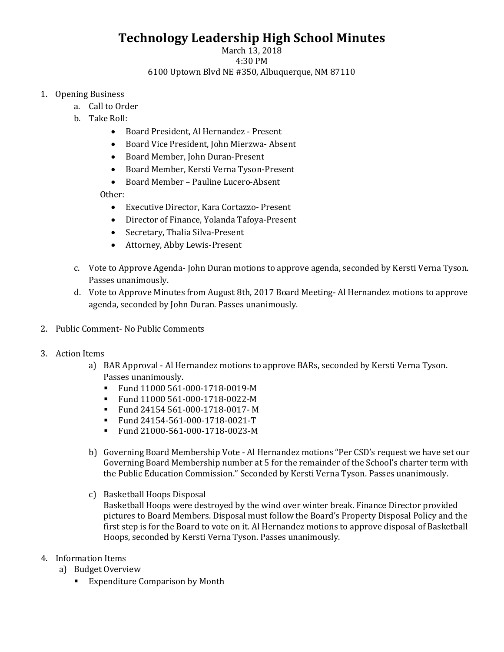# **Technology Leadership High School Minutes**

#### March 13, 2018 4:30 PM 6100 Uptown Blvd NE #350, Albuquerque, NM 87110

### 1. Opening Business

- a. Call to Order
	- b. Take Roll:
		- Board President, Al Hernandez Present
		- Board Vice President, John Mierzwa- Absent
		- Board Member, John Duran-Present
		- Board Member, Kersti Verna Tyson-Present
		- Board Member Pauline Lucero-Absent

Other:

- Executive Director, Kara Cortazzo- Present
- Director of Finance, Yolanda Tafoya-Present
- Secretary, Thalia Silva-Present
- Attorney, Abby Lewis-Present
- c. Vote to Approve Agenda- John Duran motions to approve agenda, seconded by Kersti Verna Tyson. Passes unanimously.
- d. Vote to Approve Minutes from August 8th, 2017 Board Meeting- Al Hernandez motions to approve agenda, seconded by John Duran. Passes unanimously.
- 2. Public Comment- No Public Comments
- 3. Action Items
	- a) BAR Approval Al Hernandez motions to approve BARs, seconded by Kersti Verna Tyson. Passes unanimously.<br>• Fund 11000 561-
		- Fund 11000 561-000-1718-0019-M
		- Fund 11000 561-000-1718-0022-M
		- Fund 24154 561-000-1718-0017- M
		- Fund 24154-561-000-1718-0021-T<br>■ Fund 21000-561-000-1718-0023-M
		- Fund 21000-561-000-1718-0023-M
	- b) Governing Board Membership Vote Al Hernandez motions "Per CSD's request we have set our Governing Board Membership number at 5 for the remainder of the School's charter term with the Public Education Commission." Seconded by Kersti Verna Tyson. Passes unanimously.
	- c) Basketball Hoops Disposal

Basketball Hoops were destroyed by the wind over winter break. Finance Director provided pictures to Board Members. Disposal must follow the Board's Property Disposal Policy and the first step is for the Board to vote on it. Al Hernandez motions to approve disposal of Basketball Hoops, seconded by Kersti Verna Tyson. Passes unanimously.

- 4. Information Items
	- a) Budget Overview
		- **Expenditure Comparison by Month**